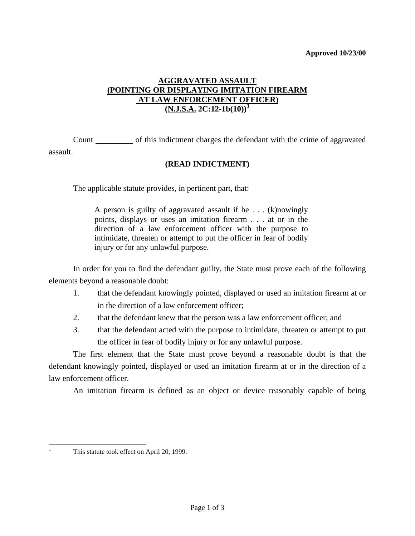## **AGGRAVATED ASSAULT (POINTING OR DISPLAYING IMITATION FIREARM AT LAW ENFORCEMENT OFFICER)**  $(N.J.S.A. 2C:12-1b(10))^1$  $(N.J.S.A. 2C:12-1b(10))^1$  $(N.J.S.A. 2C:12-1b(10))^1$

 Count of this indictment charges the defendant with the crime of aggravated assault.

## **(READ INDICTMENT)**

The applicable statute provides, in pertinent part, that:

A person is guilty of aggravated assault if he . . . (k)nowingly points, displays or uses an imitation firearm . . . at or in the direction of a law enforcement officer with the purpose to intimidate, threaten or attempt to put the officer in fear of bodily injury or for any unlawful purpose.

 In order for you to find the defendant guilty, the State must prove each of the following elements beyond a reasonable doubt:

- 1. that the defendant knowingly pointed, displayed or used an imitation firearm at or in the direction of a law enforcement officer;
- 2. that the defendant knew that the person was a law enforcement officer; and
- 3. that the defendant acted with the purpose to intimidate, threaten or attempt to put the officer in fear of bodily injury or for any unlawful purpose.

 The first element that the State must prove beyond a reasonable doubt is that the defendant knowingly pointed, displayed or used an imitation firearm at or in the direction of a law enforcement officer.

An imitation firearm is defined as an object or device reasonably capable of being

<span id="page-0-1"></span><span id="page-0-0"></span>|<br>|<br>|

This statute took effect on April 20, 1999.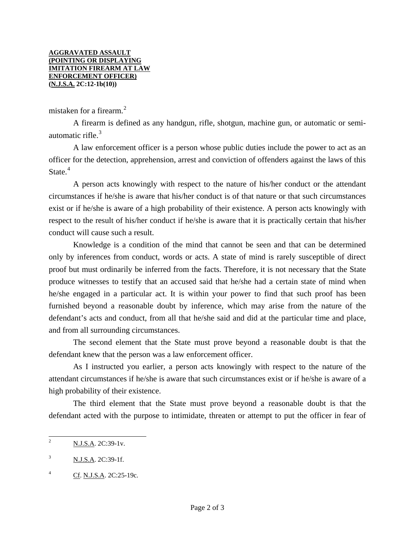mistaken for a firearm.<sup>[2](#page-0-1)</sup>

 A firearm is defined as any handgun, rifle, shotgun, machine gun, or automatic or semiautomatic rifle. $3$ 

 A law enforcement officer is a person whose public duties include the power to act as an officer for the detection, apprehension, arrest and conviction of offenders against the laws of this State.<sup>[4](#page-1-1)</sup>

 A person acts knowingly with respect to the nature of his/her conduct or the attendant circumstances if he/she is aware that his/her conduct is of that nature or that such circumstances exist or if he/she is aware of a high probability of their existence. A person acts knowingly with respect to the result of his/her conduct if he/she is aware that it is practically certain that his/her conduct will cause such a result.

 Knowledge is a condition of the mind that cannot be seen and that can be determined only by inferences from conduct, words or acts. A state of mind is rarely susceptible of direct proof but must ordinarily be inferred from the facts. Therefore, it is not necessary that the State produce witnesses to testify that an accused said that he/she had a certain state of mind when he/she engaged in a particular act. It is within your power to find that such proof has been furnished beyond a reasonable doubt by inference, which may arise from the nature of the defendant's acts and conduct, from all that he/she said and did at the particular time and place, and from all surrounding circumstances.

 The second element that the State must prove beyond a reasonable doubt is that the defendant knew that the person was a law enforcement officer.

 As I instructed you earlier, a person acts knowingly with respect to the nature of the attendant circumstances if he/she is aware that such circumstances exist or if he/she is aware of a high probability of their existence.

 The third element that the State must prove beyond a reasonable doubt is that the defendant acted with the purpose to intimidate, threaten or attempt to put the officer in fear of

<span id="page-1-2"></span> $\overline{c}$ N.J.S.A. 2C:39-1v.

<span id="page-1-0"></span><sup>&</sup>lt;sup>3</sup> N.J.S.A. 2C:39-1f.

<span id="page-1-1"></span><sup>&</sup>lt;sup>4</sup> Cf. N.J.S.A. 2C:25-19c.